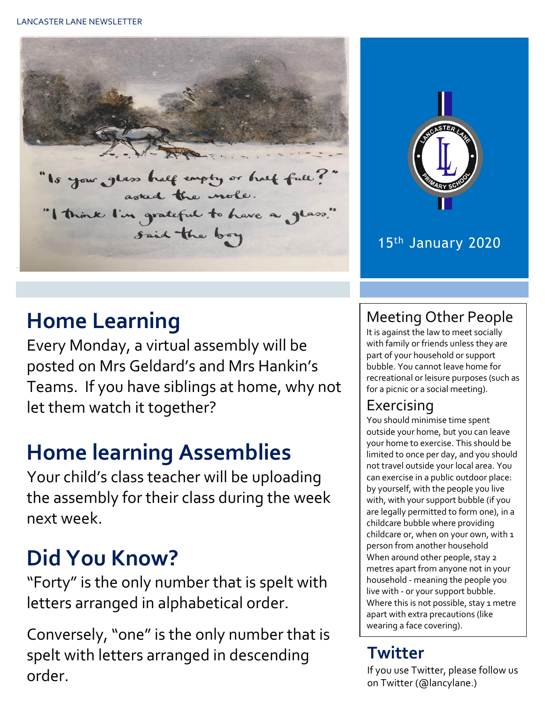



## 15th January 2020

# **Home Learning**

Every Monday, a virtual assembly will be posted on Mrs Geldard's and Mrs Hankin's Teams. If you have siblings at home, why not let them watch it together?

# **Home learning Assemblies**

Your child's class teacher will be uploading the assembly for their class during the week next week.

# **Did You Know?**

"Forty" is the only number that is spelt with letters arranged in alphabetical order.

Conversely, "one" is the only number that is spelt with letters arranged in descending order.

## Meeting Other People

It is against the law to meet socially with family or friends unless they are part of your household or support bubble. You cannot leave home for recreational or leisure purposes (such as for a picnic or a social meeting).

## Exercising

You should minimise time spent outside your home, but you can leave your home to exercise. This should be limited to once per day, and you should not travel outside your local area. You can exercise in a public outdoor place: by yourself, with the people you live with, with your support bubble (if you are legally permitted to form one), in a childcare bubble where providing childcare or, when on your own, with 1 person from another household When around other people, stay 2 metres apart from anyone not in your household - meaning the people you live with - or your support bubble. Where this is not possible, stay 1 metre apart with extra precautions (like wearing a face covering).

## **Twitter**

If you use Twitter, please follow us on Twitter (@lancylane.)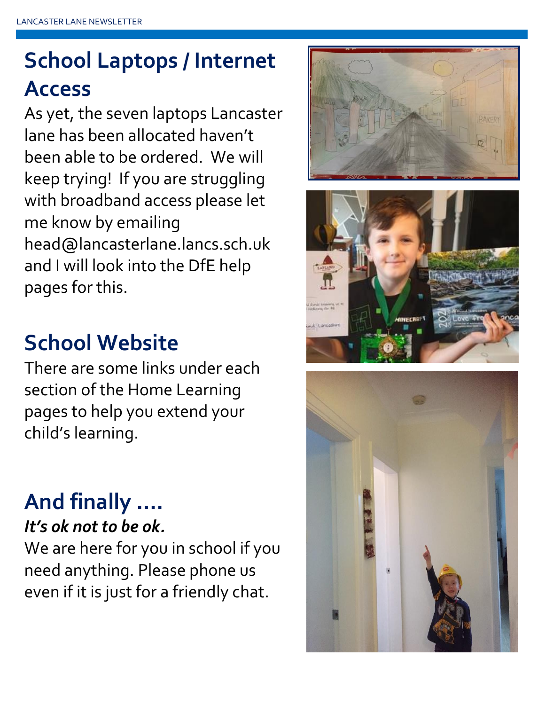# **School Laptops / Internet Access**

As yet, the seven laptops Lancaster lane has been allocated haven't been able to be ordered. We will keep trying! If you are struggling with broadband access please let me know by emailing head@lancasterlane.lancs.sch.uk and I will look into the DfE help pages for this.

# **School Website**

There are some links under each section of the Home Learning pages to help you extend your child's learning.

## **And finally ….** *It's ok not to be ok.*

We are here for you in school if you need anything. Please phone us even if it is just for a friendly chat.